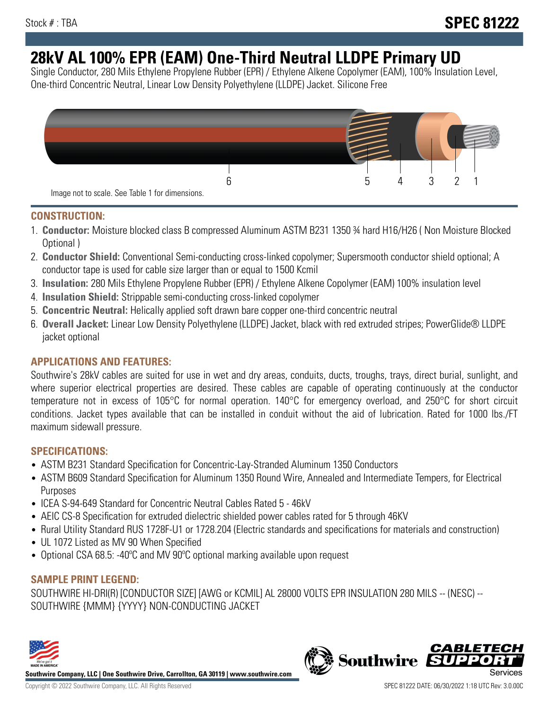# **28kV AL 100% EPR (EAM) One-Third Neutral LLDPE Primary UD**

Single Conductor, 280 Mils Ethylene Propylene Rubber (EPR) / Ethylene Alkene Copolymer (EAM), 100% Insulation Level, One-third Concentric Neutral, Linear Low Density Polyethylene (LLDPE) Jacket. Silicone Free



## **CONSTRUCTION:**

- 1. **Conductor:** Moisture blocked class B compressed Aluminum ASTM B231 1350 ¾ hard H16/H26 ( Non Moisture Blocked Optional )
- 2. **Conductor Shield:** Conventional Semi-conducting cross-linked copolymer; Supersmooth conductor shield optional; A conductor tape is used for cable size larger than or equal to 1500 Kcmil
- 3. **Insulation:** 280 Mils Ethylene Propylene Rubber (EPR) / Ethylene Alkene Copolymer (EAM) 100% insulation level
- 4. **Insulation Shield:** Strippable semi-conducting cross-linked copolymer
- 5. **Concentric Neutral:** Helically applied soft drawn bare copper one-third concentric neutral
- 6. **Overall Jacket:** Linear Low Density Polyethylene (LLDPE) Jacket, black with red extruded stripes; PowerGlide® LLDPE jacket optional

# **APPLICATIONS AND FEATURES:**

Southwire's 28kV cables are suited for use in wet and dry areas, conduits, ducts, troughs, trays, direct burial, sunlight, and where superior electrical properties are desired. These cables are capable of operating continuously at the conductor temperature not in excess of 105°C for normal operation. 140°C for emergency overload, and 250°C for short circuit conditions. Jacket types available that can be installed in conduit without the aid of lubrication. Rated for 1000 lbs./FT maximum sidewall pressure.

# **SPECIFICATIONS:**

- ASTM B231 Standard Specification for Concentric-Lay-Stranded Aluminum 1350 Conductors
- ASTM B609 Standard Specification for Aluminum 1350 Round Wire, Annealed and Intermediate Tempers, for Electrical Purposes
- ICEA S-94-649 Standard for Concentric Neutral Cables Rated 5 46kV
- AEIC CS-8 Specification for extruded dielectric shielded power cables rated for 5 through 46KV
- Rural Utility Standard RUS 1728F-U1 or 1728.204 (Electric standards and specifications for materials and construction)
- UL 1072 Listed as MV 90 When Specified
- Optional CSA 68.5: -40ºC and MV 90ºC optional marking available upon request

# **SAMPLE PRINT LEGEND:**

SOUTHWIRE HI-DRI(R) [CONDUCTOR SIZE] [AWG or KCMIL] AL 28000 VOLTS EPR INSULATION 280 MILS -- (NESC) -- SOUTHWIRE {MMM} {YYYY} NON-CONDUCTING JACKET



**Southwire Company, LLC | One Southwire Drive, Carrollton, GA 30119 | www.southwire.com**